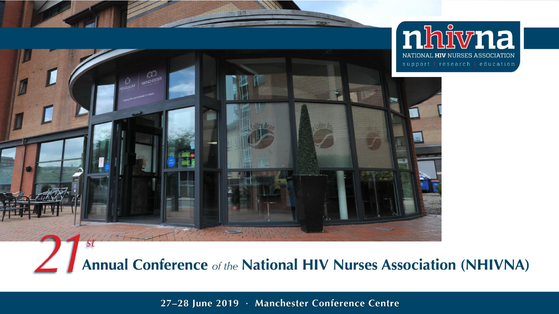

**Annual Conference of the National HIV Nurses Association (NHIVNA)** 

27-28 June 2019 · Manchester Conference Centre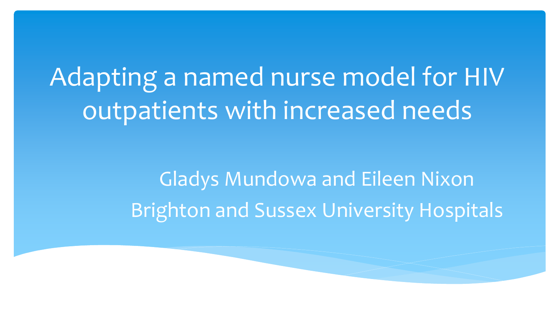Adapting a named nurse model for HIV outpatients with increased needs

> Gladys Mundowa and Eileen Nixon Brighton and Sussex University Hospitals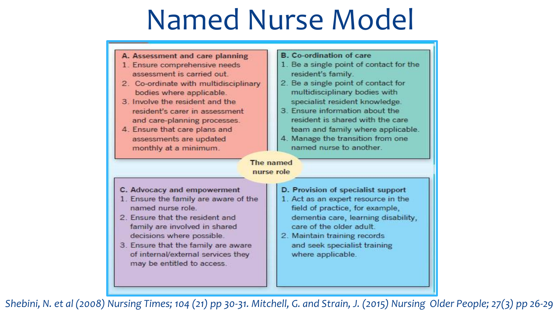## Named Nurse Model

- A. Assessment and care planning
- 1. Ensure comprehensive needs assessment is carried out.
- 2. Co-ordinate with multidisciplinary bodies where applicable.
- 3. Involve the resident and the resident's carer in assessment and care-planning processes.
- 4. Ensure that care plans and assessments are updated monthly at a minimum.
- **B.** Co-ordination of care
- 1. Be a single point of contact for the resident's family.
- 2. Be a single point of contact for multidisciplinary bodies with specialist resident knowledge.
- 3. Ensure information about the resident is shared with the care team and family where applicable.
- 4. Manage the transition from one named nurse to another.

The named nurse role

- C. Advocacy and empowerment
- 1. Ensure the family are aware of the named nurse role
- 2. Ensure that the resident and family are involved in shared decisions where possible.
- 3. Ensure that the family are aware of internal/external services they may be entitled to access.
- D. Provision of specialist support
- 1. Act as an expert resource in the field of practice, for example, dementia care, learning disability, care of the older adult.
- 2. Maintain training records and seek specialist training where applicable.

*Shebini, N. et al (2008) Nursing Times; 104 (21) pp 30-31. Mitchell, G. and Strain, J. (2015) Nursing Older People; 27(3) pp 26-29*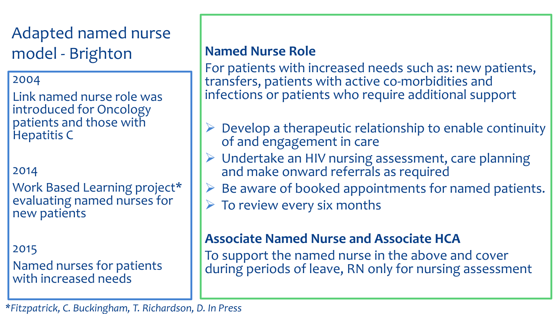Adapted named nurse model - Brighton **Named Nurse Role** 

### 2004

Link named nurse role was introduced for Oncology patients and those with Hepatitis C

### 2014

Work Based Learning project\* evaluating named nurses for new patients

2015 Named nurses for patients with increased needs

For patients with increased needs such as: new patients, transfers, patients with active co-morbidities and infections or patients who require additional support

- Develop a therapeutic relationship to enable continuity of and engagement in care
- Undertake an HIV nursing assessment, care planning and make onward referrals as required
- $\triangleright$  Be aware of booked appointments for named patients.
- $\triangleright$  To review every six months

### **Associate Named Nurse and Associate HCA**

To support the named nurse in the above and cover during periods of leave, RN only for nursing assessment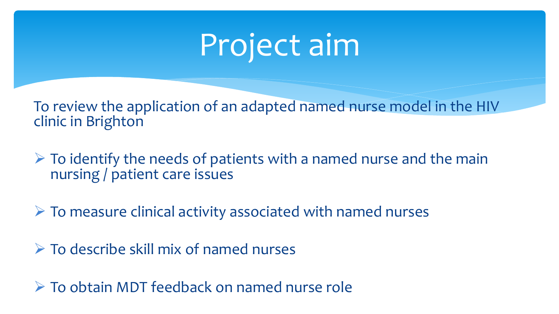## Project aim

To review the application of an adapted named nurse model in the HIV clinic in Brighton

 $\triangleright$  To identify the needs of patients with a named nurse and the main nursing / patient care issues

 $\triangleright$  To measure clinical activity associated with named nurses

 $\triangleright$  To describe skill mix of named nurses

To obtain MDT feedback on named nurse role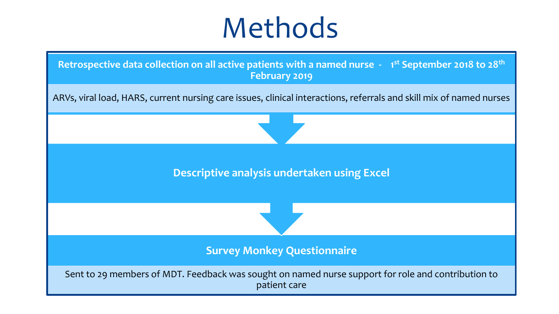### Methods

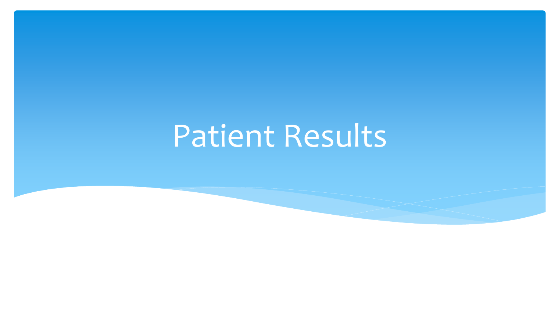## Patient Results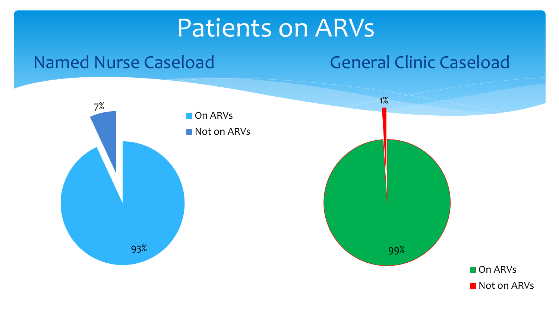### Patients on ARVs

### Named Nurse Caseload 93% 7% On ARVs Not on ARVs General Clinic Caseload 99% 1% On ARVs Not on ARVs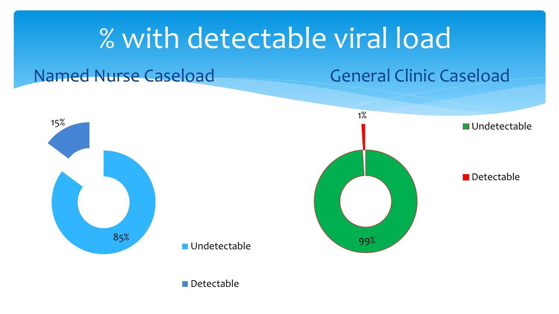### % with detectable viral load

### Named Nurse Caseload General Clinic Caseload



Detectable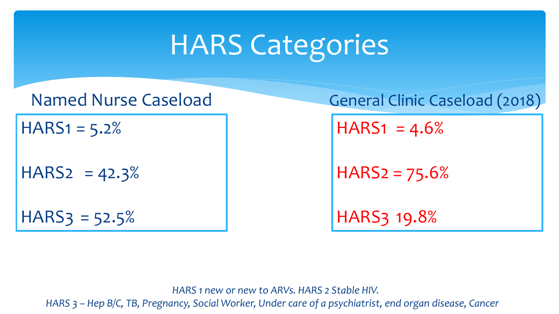### HARS Categories

 $HARS1 = 5.2%$ 

 $HARS2 = 42.3%$ 

 $HARS3 = 52.5%$ 

Named Nurse Caseload General Clinic Caseload (2018)

 $HARS1 = 4.6%$ 

 $HARS2 = 75.6%$ 

HARS3 19.8%

 *HARS 1 new or new to ARVs. HARS 2 Stable HIV.* 

 *HARS 3 – Hep B/C, TB, Pregnancy, Social Worker, Under care of a psychiatrist, end organ disease, Cancer*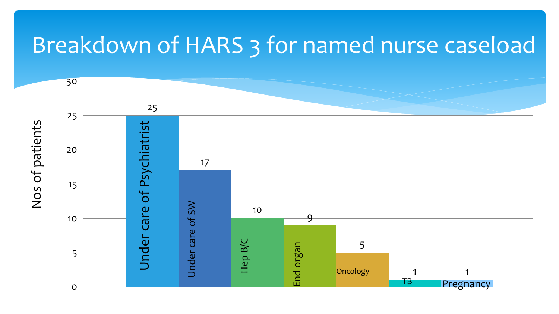### Breakdown of HARS 3 for named nurse caseload

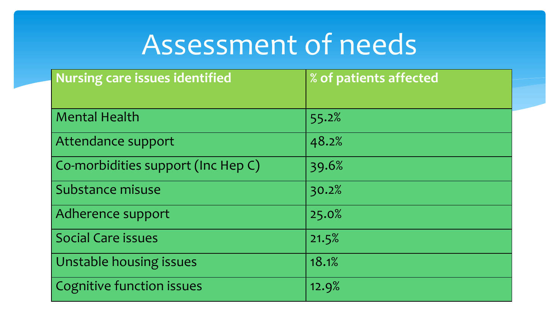### Assessment of needs

| <b>Nursing care issues identified</b> | % of patients affected |
|---------------------------------------|------------------------|
|                                       |                        |
| <b>Mental Health</b>                  | 55.2%                  |
| Attendance support                    | 48.2%                  |
| Co-morbidities support (Inc Hep C)    | 39.6%                  |
| Substance misuse                      | 30.2%                  |
| Adherence support                     | 25.0%                  |
| <b>Social Care issues</b>             | 21.5%                  |
| Unstable housing issues               | 18.1%                  |
| <b>Cognitive function issues</b>      | 12.9%                  |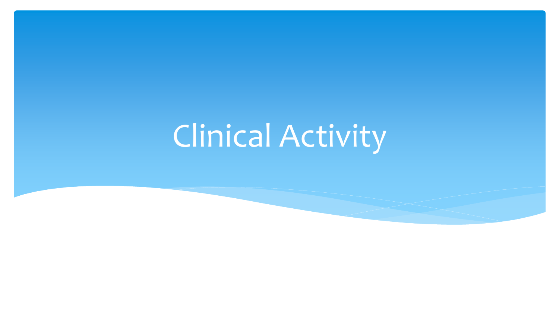# Clinical Activity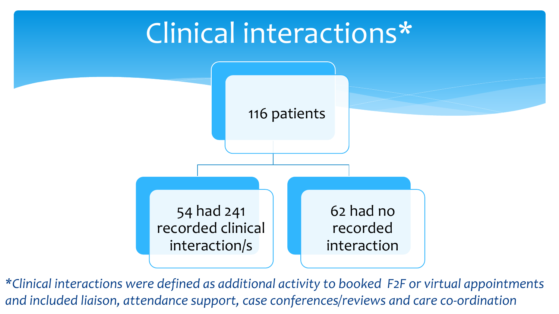

*\*Clinical interactions were defined as additional activity to booked F2F or virtual appointments and included liaison, attendance support, case conferences/reviews and care co-ordination*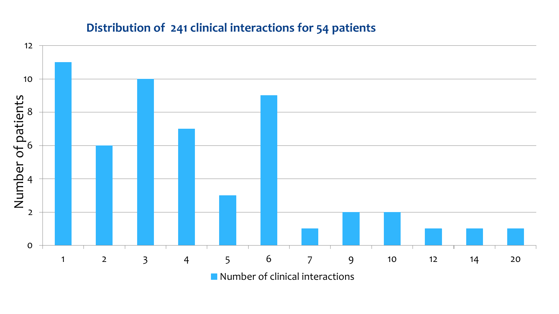### **Distribution of 241 clinical interactions for 54 patients**

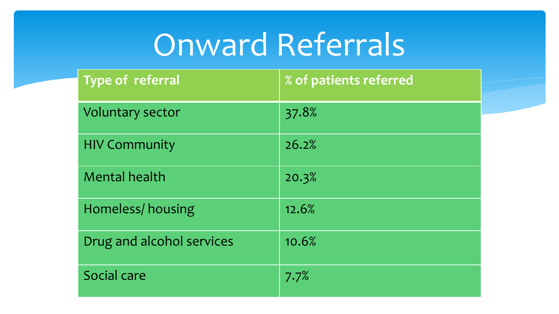## Onward Referrals

| <b>Type of referral</b>   | % of patients referred |
|---------------------------|------------------------|
| Voluntary sector          | 37.8%                  |
| <b>HIV Community</b>      | 26.2%                  |
| <b>Mental health</b>      | 20.3%                  |
| Homeless/housing          | 12.6%                  |
| Drug and alcohol services | 10.6%                  |
| Social care               | 7.7%                   |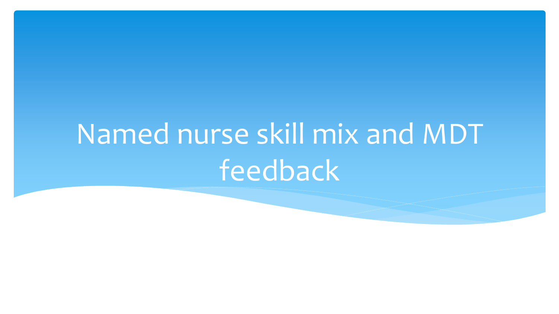# Named nurse skill mix and MDT feedback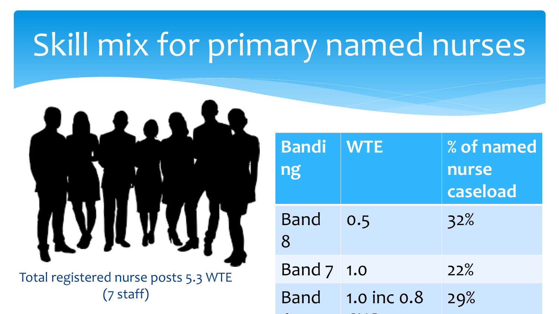## Skill mix for primary named nurses



Total registered nurse posts 5.3 WTE (7 staff)

| <b>WTE</b>  | % of named<br>nurse<br>caseload |
|-------------|---------------------------------|
| 0.5         | 32%                             |
| Band 7 1.0  | 22%                             |
| 1.0 inc 0.8 | 29%                             |
|             |                                 |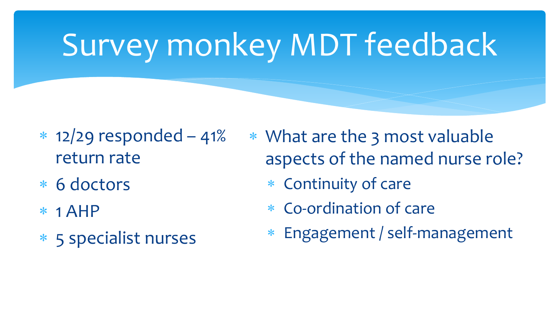# Survey monkey MDT feedback

- $*$  12/29 responded 41% return rate
- 6 doctors
- $*$  1 AHP
- 5 specialist nurses

 What are the 3 most valuable aspects of the named nurse role?

- Continuity of care
- Co-ordination of care
- Engagement / self-management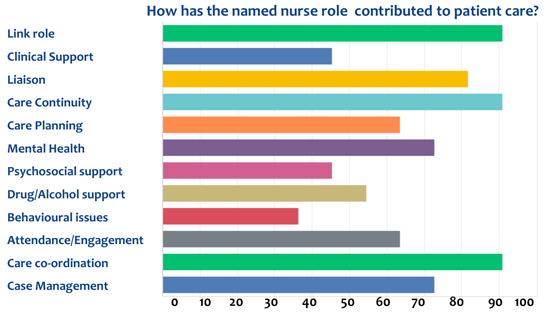### **How has the named nurse role contributed to patient care?**

- **Link role**
- **Clinical Support**
- **Liaison**
- **Care Continuity**
- **Care Planning**
- **Mental Health**
- **Psychosocial support**
- **Drug/Alcohol support**
- **Behavioural issues**
- **Attendance/Engagement**
- **Care co-ordination**
- **Case Management**

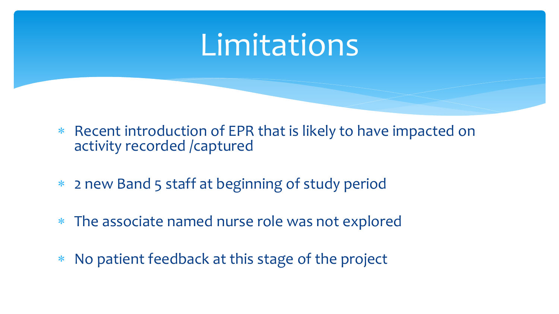### Limitations

- Recent introduction of EPR that is likely to have impacted on activity recorded /captured
- 2 new Band 5 staff at beginning of study period
- The associate named nurse role was not explored
- No patient feedback at this stage of the project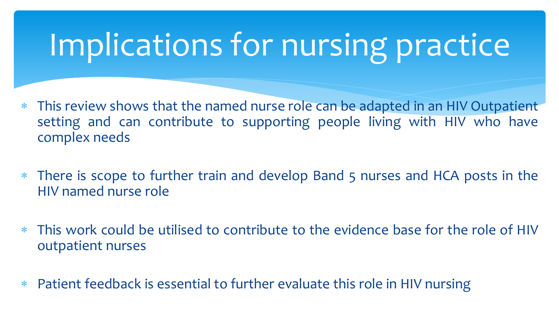## Implications for nursing practice

- This review shows that the named nurse role can be adapted in an HIV Outpatient setting and can contribute to supporting people living with HIV who have complex needs
- There is scope to further train and develop Band 5 nurses and HCA posts in the HIV named nurse role
- This work could be utilised to contribute to the evidence base for the role of HIV outpatient nurses
- Patient feedback is essential to further evaluate this role in HIV nursing